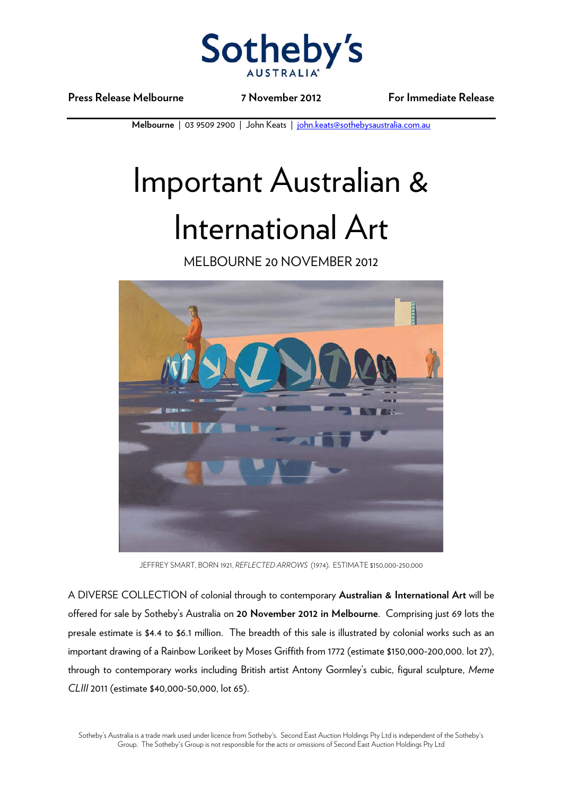

**Press Release Melbourne 7 November 2012 For Immediate Release** 

**Melbourne** | 03 9509 2900 | John Keats | john.keats@sothebysaustralia.com.au

## Important Australian & International Art

MELBOURNE 20 NOVEMBER 2012



JEFFREY SMART, BORN 1921, *REFLECTED ARROWS* (1974). ESTIMATE \$150,000-250,000

A DIVERSE COLLECTION of colonial through to contemporary **Australian & International Art** will be offered for sale by Sotheby's Australia on **20 November 2012 in Melbourne**. Comprising just 69 lots the presale estimate is \$4.4 to \$6.1 million. The breadth of this sale is illustrated by colonial works such as an important drawing of a Rainbow Lorikeet by Moses Griffith from 1772 (estimate \$150,000-200,000. lot 27), through to contemporary works including British artist Antony Gormley's cubic, figural sculpture, *Meme CLIII* 2011 (estimate \$40,000-50,000, lot 65).

Sotheby's Australia is a trade mark used under licence from Sotheby's. Second East Auction Holdings Pty Ltd is independent of the Sotheby's Group. The Sotheby's Group is not responsible for the acts or omissions of Second East Auction Holdings Pty Ltd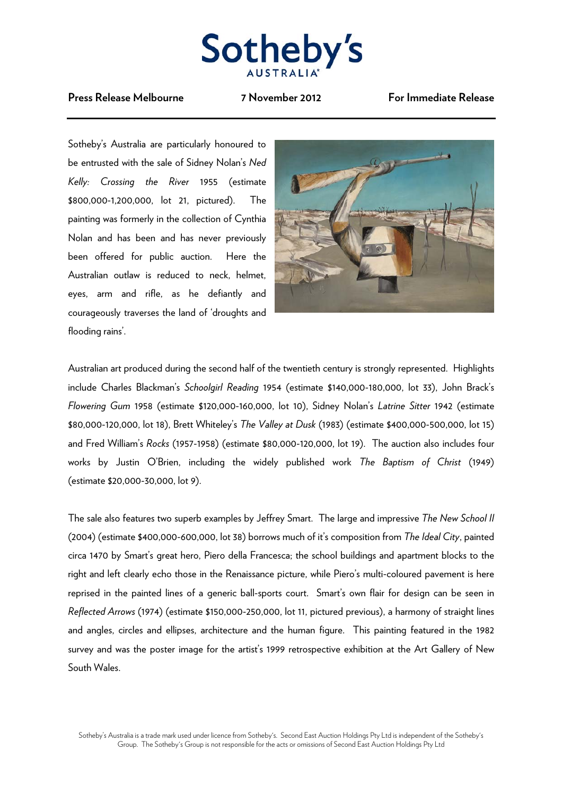

## **Press Release Melbourne 7 November 2012 For Immediate Release**

Sotheby's Australia are particularly honoured to be entrusted with the sale of Sidney Nolan's *Ned Kelly: Crossing the River* 1955 (estimate \$800,000-1,200,000, lot 21, pictured). The painting was formerly in the collection of Cynthia Nolan and has been and has never previously been offered for public auction. Here the Australian outlaw is reduced to neck, helmet, eyes, arm and rifle, as he defiantly and courageously traverses the land of 'droughts and flooding rains'.



Australian art produced during the second half of the twentieth century is strongly represented. Highlights include Charles Blackman's *Schoolgirl Reading* 1954 (estimate \$140,000-180,000, lot 33), John Brack's *Flowering Gum* 1958 (estimate \$120,000-160,000, lot 10), Sidney Nolan's *Latrine Sitter* 1942 (estimate \$80,000-120,000, lot 18), Brett Whiteley's *The Valley at Dusk* (1983) (estimate \$400,000-500,000, lot 15) and Fred William's *Rocks* (1957-1958) (estimate \$80,000-120,000, lot 19). The auction also includes four works by Justin O'Brien, including the widely published work *The Baptism of Christ* (1949) (estimate \$20,000-30,000, lot 9).

The sale also features two superb examples by Jeffrey Smart. The large and impressive *The New School II* (2004) (estimate \$400,000-600,000, lot 38) borrows much of it's composition from *The Ideal City*, painted circa 1470 by Smart's great hero, Piero della Francesca; the school buildings and apartment blocks to the right and left clearly echo those in the Renaissance picture, while Piero's multi-coloured pavement is here reprised in the painted lines of a generic ball-sports court. Smart's own flair for design can be seen in *Reflected Arrows* (1974) (estimate \$150,000-250,000, lot 11, pictured previous), a harmony of straight lines and angles, circles and ellipses, architecture and the human figure. This painting featured in the 1982 survey and was the poster image for the artist's 1999 retrospective exhibition at the Art Gallery of New South Wales.

Sotheby's Australia is a trade mark used under licence from Sotheby's. Second East Auction Holdings Pty Ltd is independent of the Sotheby's Group. The Sotheby's Group is not responsible for the acts or omissions of Second East Auction Holdings Pty Ltd